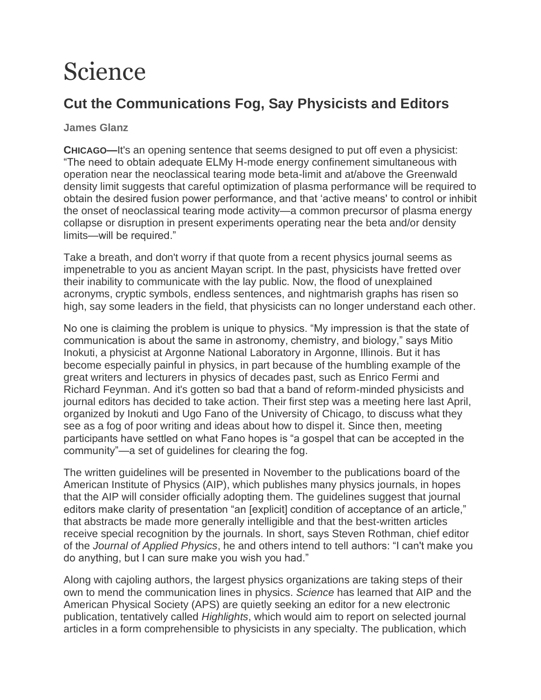## Science

## **Cut the Communications Fog, Say Physicists and Editors**

**James Glanz**

**CHICAGO—**It's an opening sentence that seems designed to put off even a physicist: "The need to obtain adequate ELMy H-mode energy confinement simultaneous with operation near the neoclassical tearing mode beta-limit and at/above the Greenwald density limit suggests that careful optimization of plasma performance will be required to obtain the desired fusion power performance, and that 'active means' to control or inhibit the onset of neoclassical tearing mode activity—a common precursor of plasma energy collapse or disruption in present experiments operating near the beta and/or density limits—will be required."

Take a breath, and don't worry if that quote from a recent physics journal seems as impenetrable to you as ancient Mayan script. In the past, physicists have fretted over their inability to communicate with the lay public. Now, the flood of unexplained acronyms, cryptic symbols, endless sentences, and nightmarish graphs has risen so high, say some leaders in the field, that physicists can no longer understand each other.

No one is claiming the problem is unique to physics. "My impression is that the state of communication is about the same in astronomy, chemistry, and biology," says Mitio Inokuti, a physicist at Argonne National Laboratory in Argonne, Illinois. But it has become especially painful in physics, in part because of the humbling example of the great writers and lecturers in physics of decades past, such as Enrico Fermi and Richard Feynman. And it's gotten so bad that a band of reform-minded physicists and journal editors has decided to take action. Their first step was a meeting here last April, organized by Inokuti and Ugo Fano of the University of Chicago, to discuss what they see as a fog of poor writing and ideas about how to dispel it. Since then, meeting participants have settled on what Fano hopes is "a gospel that can be accepted in the community"—a set of guidelines for clearing the fog.

The written guidelines will be presented in November to the publications board of the American Institute of Physics (AIP), which publishes many physics journals, in hopes that the AIP will consider officially adopting them. The guidelines suggest that journal editors make clarity of presentation "an [explicit] condition of acceptance of an article," that abstracts be made more generally intelligible and that the best-written articles receive special recognition by the journals. In short, says Steven Rothman, chief editor of the *Journal of Applied Physics*, he and others intend to tell authors: "I can't make you do anything, but I can sure make you wish you had."

Along with cajoling authors, the largest physics organizations are taking steps of their own to mend the communication lines in physics. *Science* has learned that AIP and the American Physical Society (APS) are quietly seeking an editor for a new electronic publication, tentatively called *Highlights*, which would aim to report on selected journal articles in a form comprehensible to physicists in any specialty. The publication, which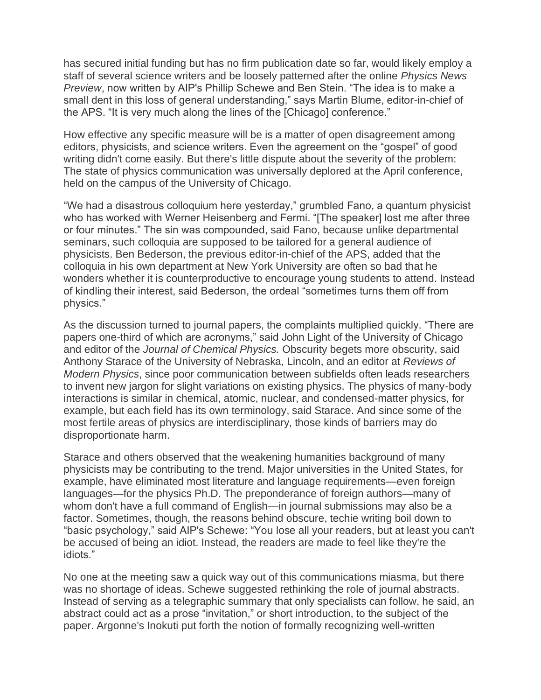has secured initial funding but has no firm publication date so far, would likely employ a staff of several science writers and be loosely patterned after the online *Physics News Preview*, now written by AIP's Phillip Schewe and Ben Stein. "The idea is to make a small dent in this loss of general understanding," says Martin Blume, editor-in-chief of the APS. "It is very much along the lines of the [Chicago] conference."

How effective any specific measure will be is a matter of open disagreement among editors, physicists, and science writers. Even the agreement on the "gospel" of good writing didn't come easily. But there's little dispute about the severity of the problem: The state of physics communication was universally deplored at the April conference, held on the campus of the University of Chicago.

"We had a disastrous colloquium here yesterday," grumbled Fano, a quantum physicist who has worked with Werner Heisenberg and Fermi. "[The speaker] lost me after three or four minutes." The sin was compounded, said Fano, because unlike departmental seminars, such colloquia are supposed to be tailored for a general audience of physicists. Ben Bederson, the previous editor-in-chief of the APS, added that the colloquia in his own department at New York University are often so bad that he wonders whether it is counterproductive to encourage young students to attend. Instead of kindling their interest, said Bederson, the ordeal "sometimes turns them off from physics."

As the discussion turned to journal papers, the complaints multiplied quickly. "There are papers one-third of which are acronyms," said John Light of the University of Chicago and editor of the *Journal of Chemical Physics.* Obscurity begets more obscurity, said Anthony Starace of the University of Nebraska, Lincoln, and an editor at *Reviews of Modern Physics*, since poor communication between subfields often leads researchers to invent new jargon for slight variations on existing physics. The physics of many-body interactions is similar in chemical, atomic, nuclear, and condensed-matter physics, for example, but each field has its own terminology, said Starace. And since some of the most fertile areas of physics are interdisciplinary, those kinds of barriers may do disproportionate harm.

Starace and others observed that the weakening humanities background of many physicists may be contributing to the trend. Major universities in the United States, for example, have eliminated most literature and language requirements—even foreign languages—for the physics Ph.D. The preponderance of foreign authors—many of whom don't have a full command of English—in journal submissions may also be a factor. Sometimes, though, the reasons behind obscure, techie writing boil down to "basic psychology," said AIP's Schewe: "You lose all your readers, but at least you can't be accused of being an idiot. Instead, the readers are made to feel like they're the idiots."

No one at the meeting saw a quick way out of this communications miasma, but there was no shortage of ideas. Schewe suggested rethinking the role of journal abstracts. Instead of serving as a telegraphic summary that only specialists can follow, he said, an abstract could act as a prose "invitation," or short introduction, to the subject of the paper. Argonne's Inokuti put forth the notion of formally recognizing well-written